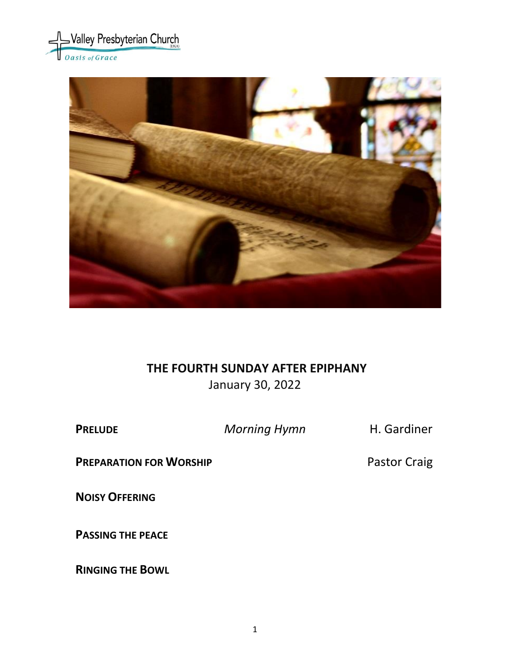



#### **THE FOURTH SUNDAY AFTER EPIPHANY**

January 30, 2022

**PRELUDE** *Morning Hymn* **H. Gardiner** 

**PREPARATION FOR WORSHIP** Pastor Craig

**NOISY OFFERING**

**PASSING THE PEACE**

**RINGING THE BOWL**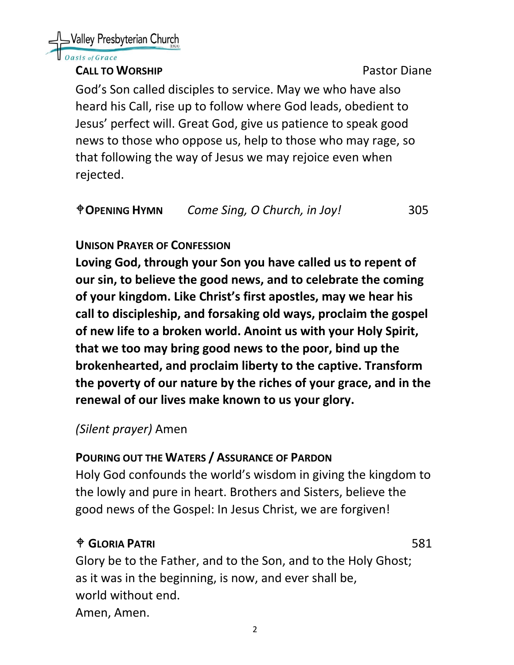asis of Grace

#### **CALL TO WORSHIP CALL TO WORSHIP**

God's Son called disciples to service. May we who have also heard his Call, rise up to follow where God leads, obedient to Jesus' perfect will. Great God, give us patience to speak good news to those who oppose us, help to those who may rage, so that following the way of Jesus we may rejoice even when rejected.

| <b><i><u>OPENING HYMN</u></i></b> | Come Sing, O Church, in Joy! | 305 |
|-----------------------------------|------------------------------|-----|
|                                   |                              |     |

## **UNISON PRAYER OF CONFESSION**

**Loving God, through your Son you have called us to repent of our sin, to believe the good news, and to celebrate the coming of your kingdom. Like Christ's first apostles, may we hear his call to discipleship, and forsaking old ways, proclaim the gospel of new life to a broken world. Anoint us with your Holy Spirit, that we too may bring good news to the poor, bind up the brokenhearted, and proclaim liberty to the captive. Transform the poverty of our nature by the riches of your grace, and in the renewal of our lives make known to us your glory.** 

## *(Silent prayer)* Amen

#### **POURING OUT THE WATERS / ASSURANCE OF PARDON**

Holy God confounds the world's wisdom in giving the kingdom to the lowly and pure in heart. Brothers and Sisters, believe the good news of the Gospel: In Jesus Christ, we are forgiven!

## **GLORIA PATRI** 581

Glory be to the Father, and to the Son, and to the Holy Ghost; as it was in the beginning, is now, and ever shall be, world without end. Amen, Amen.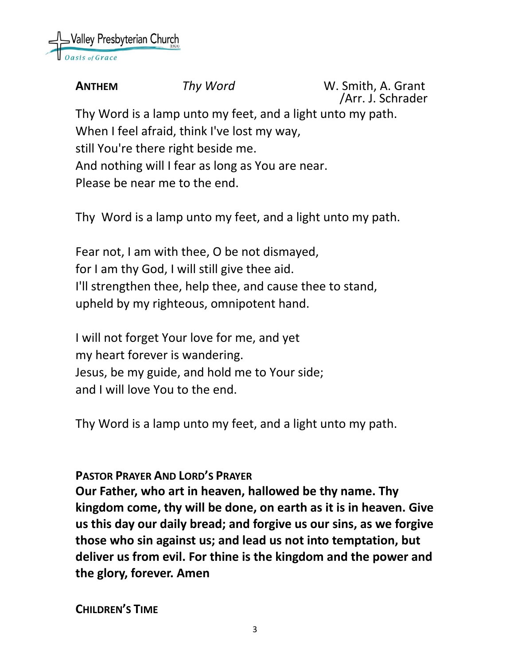

**ANTHEM** *Thy Word* W. Smith, A. Grant /Arr. J. Schrader Thy Word is a lamp unto my feet, and a light unto my path. When I feel afraid, think I've lost my way, still You're there right beside me. And nothing will I fear as long as You are near. Please be near me to the end.

Thy Word is a lamp unto my feet, and a light unto my path.

Fear not, I am with thee, O be not dismayed, for I am thy God, I will still give thee aid. I'll strengthen thee, help thee, and cause thee to stand, upheld by my righteous, omnipotent hand.

I will not forget Your love for me, and yet my heart forever is wandering. Jesus, be my guide, and hold me to Your side; and I will love You to the end.

Thy Word is a lamp unto my feet, and a light unto my path.

#### **PASTOR PRAYER AND LORD'S PRAYER**

**Our Father, who art in heaven, hallowed be thy name. Thy kingdom come, thy will be done, on earth as it is in heaven. Give us this day our daily bread; and forgive us our sins, as we forgive those who sin against us; and lead us not into temptation, but deliver us from evil. For thine is the kingdom and the power and the glory, forever. Amen**

**CHILDREN'S TIME**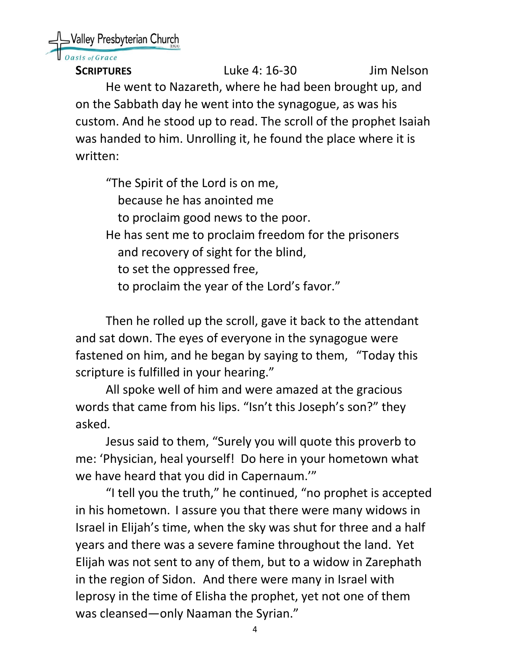Nalley Presbyterian Church

sis of Grace

**SCRIPTURES** Luke 4: 16-30 Jim Nelson He went to Nazareth, where he had been brought up, and on the Sabbath day he went into the synagogue, as was his custom. And he stood up to read. The scroll of the prophet Isaiah was handed to him. Unrolling it, he found the place where it is written:

"The Spirit of the Lord is on me, because he has anointed me to proclaim good news to the poor. He has sent me to proclaim freedom for the prisoners and recovery of sight for the blind, to set the oppressed free, to proclaim the year of the Lord's favor."

Then he rolled up the scroll, gave it back to the attendant and sat down. The eyes of everyone in the synagogue were fastened on him, and he began by saying to them, "Today this scripture is fulfilled in your hearing."

All spoke well of him and were amazed at the gracious words that came from his lips. "Isn't this Joseph's son?" they asked.

Jesus said to them, "Surely you will quote this proverb to me: 'Physician, heal yourself! Do here in your hometown what we have heard that you did in Capernaum.'"

"I tell you the truth," he continued, "no prophet is accepted in his hometown. I assure you that there were many widows in Israel in Elijah's time, when the sky was shut for three and a half years and there was a severe famine throughout the land. Yet Elijah was not sent to any of them, but to a widow in Zarephath in the region of Sidon. And there were many in Israel with leprosy in the time of Elisha the prophet, yet not one of them was cleansed—only Naaman the Syrian."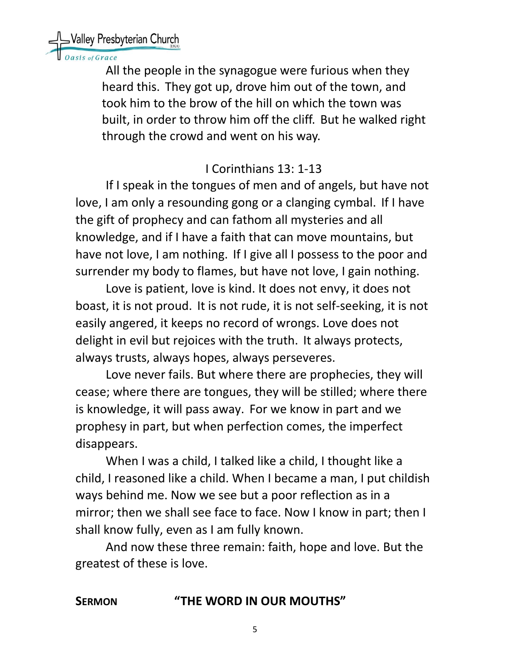Walley Presbyterian Church

is of Grace

All the people in the synagogue were furious when they heard this. They got up, drove him out of the town, and took him to the brow of the hill on which the town was built, in order to throw him off the cliff. But he walked right through the crowd and went on his way.

## I Corinthians 13: 1-13

If I speak in the tongues of men and of angels, but have not love, I am only a resounding gong or a clanging cymbal. If I have the gift of prophecy and can fathom all mysteries and all knowledge, and if I have a faith that can move mountains, but have not love, I am nothing. If I give all I possess to the poor and surrender my body to flames, but have not love, I gain nothing.

Love is patient, love is kind. It does not envy, it does not boast, it is not proud. It is not rude, it is not self-seeking, it is not easily angered, it keeps no record of wrongs. Love does not delight in evil but rejoices with the truth. It always protects, always trusts, always hopes, always perseveres.

Love never fails. But where there are prophecies, they will cease; where there are tongues, they will be stilled; where there is knowledge, it will pass away. For we know in part and we prophesy in part, but when perfection comes, the imperfect disappears.

When I was a child, I talked like a child, I thought like a child, I reasoned like a child. When I became a man, I put childish ways behind me. Now we see but a poor reflection as in a mirror; then we shall see face to face. Now I know in part; then I shall know fully, even as I am fully known.

And now these three remain: faith, hope and love. But the greatest of these is love.

## **SERMON "THE WORD IN OUR MOUTHS"**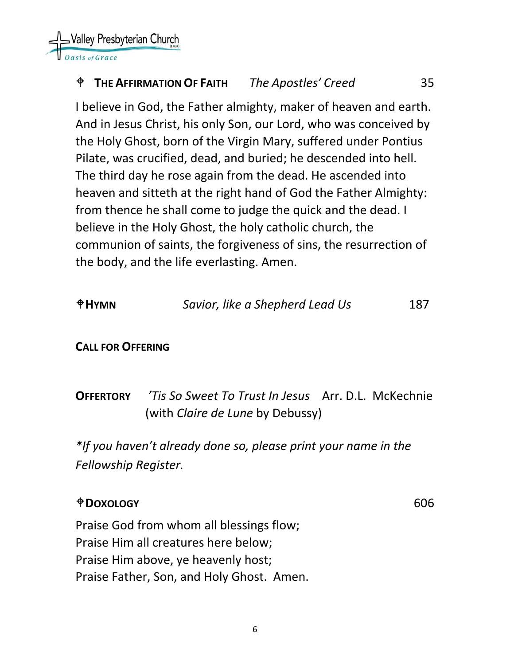Valley Presbyterian Church

## **THE AFFIRMATION OF FAITH** *The Apostles' Creed* 35

I believe in God, the Father almighty, maker of heaven and earth. And in Jesus Christ, his only Son, our Lord, who was conceived by the Holy Ghost, born of the Virgin Mary, suffered under Pontius Pilate, was crucified, dead, and buried; he descended into hell. The third day he rose again from the dead. He ascended into heaven and sitteth at the right hand of God the Father Almighty: from thence he shall come to judge the quick and the dead. I believe in the Holy Ghost, the holy catholic church, the communion of saints, the forgiveness of sins, the resurrection of the body, and the life everlasting. Amen.

| $\triangle$ HYMN         | Savior, like a Shepherd Lead Us                                                                | 187 |
|--------------------------|------------------------------------------------------------------------------------------------|-----|
| <b>CALL FOR OFFERING</b> |                                                                                                |     |
| <b>OFFERTORY</b>         | 'Tis So Sweet To Trust In Jesus Arr. D.L. McKechnie<br>(with <i>Claire de Lune</i> by Debussy) |     |
| Fellowship Register.     | *If you haven't already done so, please print your name in the                                 |     |

#### **DOXOLOGY** 606

Praise God from whom all blessings flow; Praise Him all creatures here below; Praise Him above, ye heavenly host; Praise Father, Son, and Holy Ghost. Amen.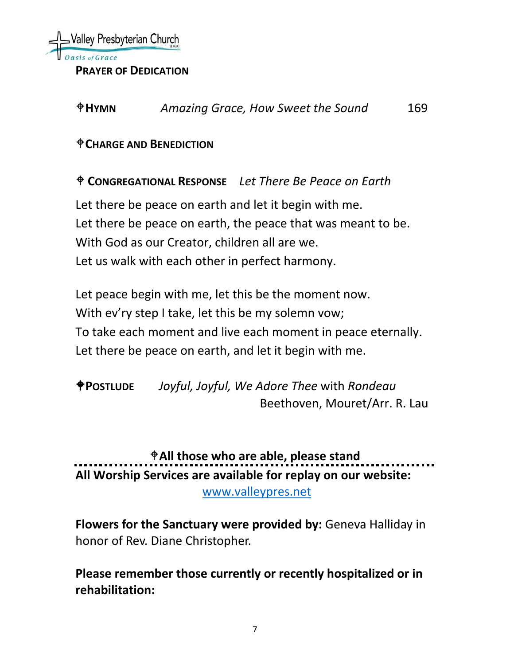

**PRAYER OF DEDICATION** 

| $\oplus$ HYMN | Amazing Grace, How Sweet the Sound | 169 |
|---------------|------------------------------------|-----|
|---------------|------------------------------------|-----|

#### **CHARGE AND BENEDICTION**

**CONGREGATIONAL RESPONSE** *Let There Be Peace on Earth*

Let there be peace on earth and let it begin with me. Let there be peace on earth, the peace that was meant to be. With God as our Creator, children all are we. Let us walk with each other in perfect harmony.

Let peace begin with me, let this be the moment now. With ev'ry step I take, let this be my solemn vow; To take each moment and live each moment in peace eternally. Let there be peace on earth, and let it begin with me.

**POSTLUDE** *Joyful, Joyful, We Adore Thee* with *Rondeau* Beethoven, Mouret/Arr. R. Lau

**All those who are able, please stand All Worship Services are available for replay on our website:** 

[www.valleypres.net](http://www.valleypres.net/)

**Flowers for the Sanctuary were provided by:** Geneva Halliday in honor of Rev. Diane Christopher.

**Please remember those currently or recently hospitalized or in rehabilitation:**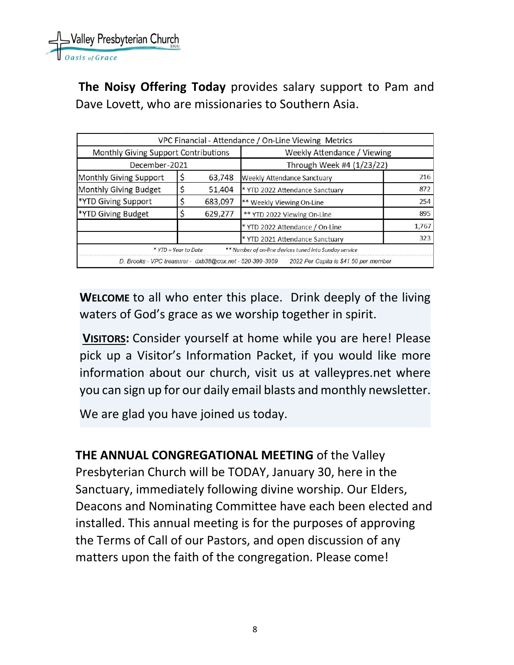

**The Noisy Offering Today** provides salary support to Pam and Dave Lovett, who are missionaries to Southern Asia.

|                                                          |  |         | VPC Financial - Attendance / On-Line Viewing Metrics   |       |  |
|----------------------------------------------------------|--|---------|--------------------------------------------------------|-------|--|
| Monthly Giving Support Contributions                     |  |         | Weekly Attendance / Viewing                            |       |  |
| December-2021                                            |  |         | Through Week #4 (1/23/22)                              |       |  |
| Monthly Giving Support                                   |  | 63,748  | Weekly Attendance Sanctuary                            | 216   |  |
| Monthly Giving Budget                                    |  | 51,404  | * YTD 2022 Attendance Sanctuary                        | 872   |  |
| *YTD Giving Support                                      |  | 683,097 | ** Weekly Viewing On-Line                              | 254   |  |
| *YTD Giving Budget                                       |  | 629,277 | ** YTD 2022 Viewing On-Line                            | 895   |  |
|                                                          |  |         | * YTD 2022 Attendance / On-Line                        | 1,767 |  |
|                                                          |  |         | * YTD 2021 Attendance Sanctuary                        | 323   |  |
| * YTD = Year to Date                                     |  |         | ** Number of on-line devices tuned into Sunday service |       |  |
| D. Brooks - VPC treasurer - dxb38@cox.net - 520-399-3959 |  |         | 2022 Per Capita is \$41.50 per member                  |       |  |

**WELCOME** to all who enter this place. Drink deeply of the living waters of God's grace as we worship together in spirit.

**VISITORS:** Consider yourself at home while you are here! Please pick up a Visitor's Information Packet, if you would like more information about our church, visit us at valleypres.net where you can sign up for our daily email blasts and monthly newsletter.

We are glad you have joined us today.

**THE ANNUAL CONGREGATIONAL MEETING** of the Valley Presbyterian Church will be TODAY, January 30, here in the Sanctuary, immediately following divine worship. Our Elders, Deacons and Nominating Committee have each been elected and installed. This annual meeting is for the purposes of approving the Terms of Call of our Pastors, and open discussion of any matters upon the faith of the congregation. Please come!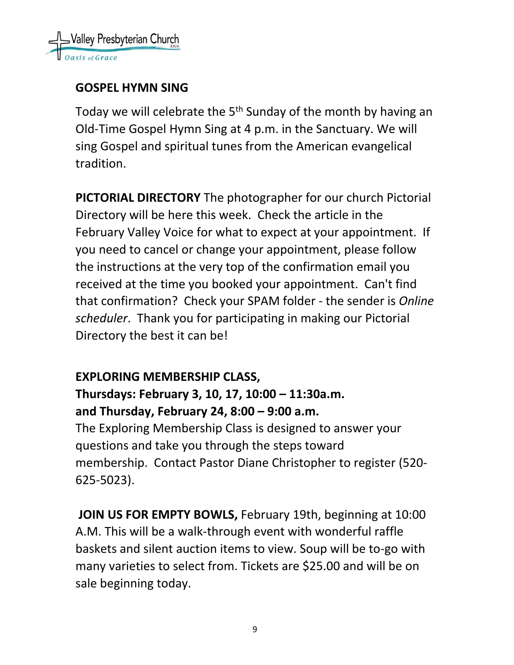

#### **GOSPEL HYMN SING**

Today we will celebrate the 5<sup>th</sup> Sunday of the month by having an Old-Time Gospel Hymn Sing at 4 p.m. in the Sanctuary. We will sing Gospel and spiritual tunes from the American evangelical tradition.

**PICTORIAL DIRECTORY** The photographer for our church Pictorial Directory will be here this week. Check the article in the February Valley Voice for what to expect at your appointment. If you need to cancel or change your appointment, please follow the instructions at the very top of the confirmation email you received at the time you booked your appointment. Can't find that confirmation? Check your SPAM folder - the sender is *Online scheduler*. Thank you for participating in making our Pictorial Directory the best it can be!

## **EXPLORING MEMBERSHIP CLASS,**

# **Thursdays: February 3, 10, 17, 10:00 – 11:30a.m. and Thursday, February 24, 8:00 – 9:00 a.m.**

The Exploring Membership Class is designed to answer your questions and take you through the steps toward membership. Contact Pastor Diane Christopher to register (520- 625-5023).

**JOIN US FOR EMPTY BOWLS,** February 19th, beginning at 10:00 A.M. This will be a walk-through event with wonderful raffle baskets and silent auction items to view. Soup will be to-go with many varieties to select from. Tickets are \$25.00 and will be on sale beginning today.